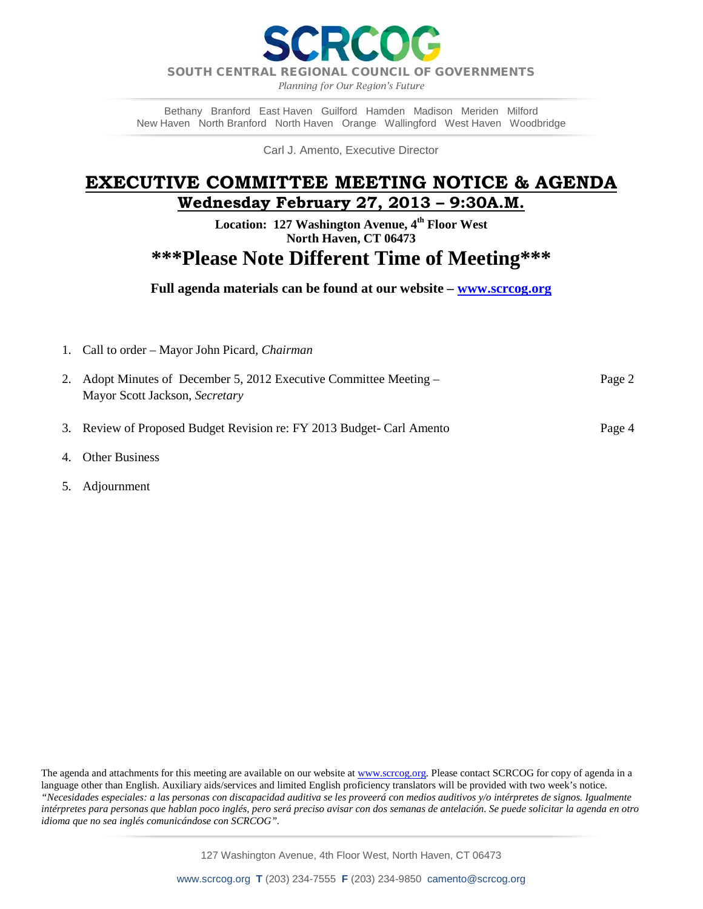Raol

SOUTH CENTRAL REGIONAL COUNCIL OF GOVERNMENTS

*Planning for Our Region's Future*

Bethany Branford East Haven Guilford Hamden Madison Meriden Milford New Haven North Branford North Haven Orange Wallingford West Haven Woodbridge

Carl J. Amento, Executive Director

## **EXECUTIVE COMMITTEE MEETING NOTICE & AGENDA Wednesday February 27, 2013 – 9:30A.M.**

**Location: 127 Washington Avenue, 4th Floor West North Haven, CT 06473** 

# **\*\*\*Please Note Different Time of Meeting\*\*\***

**Full agenda materials can be found at our website – [www.scrcog.org](http://www.scrcog.org/)**

1. Call to order – Mayor John Picard*, Chairman* 

| 2. Adopt Minutes of December 5, 2012 Executive Committee Meeting –    | Page 2 |
|-----------------------------------------------------------------------|--------|
| Mayor Scott Jackson, Secretary                                        |        |
|                                                                       |        |
| 3. Review of Proposed Budget Revision re: FY 2013 Budget- Carl Amento | Page 4 |

- 4. Other Business
- 5. Adjournment

The agenda and attachments for this meeting are available on our website a[t www.scrcog.org.](http://www.scrcog.org/) Please contact SCRCOG for copy of agenda in a language other than English. Auxiliary aids/services and limited English proficiency translators will be provided with two week's notice. *"Necesidades especiales: a las personas con discapacidad auditiva se les proveerá con medios auditivos y/o intérpretes de signos. Igualmente intérpretes para personas que hablan poco inglés, pero será preciso avisar con dos semanas de antelación. Se puede solicitar la agenda en otro idioma que no sea inglés comunicándose con SCRCOG".*

127 Washington Avenue, 4th Floor West, North Haven, CT 06473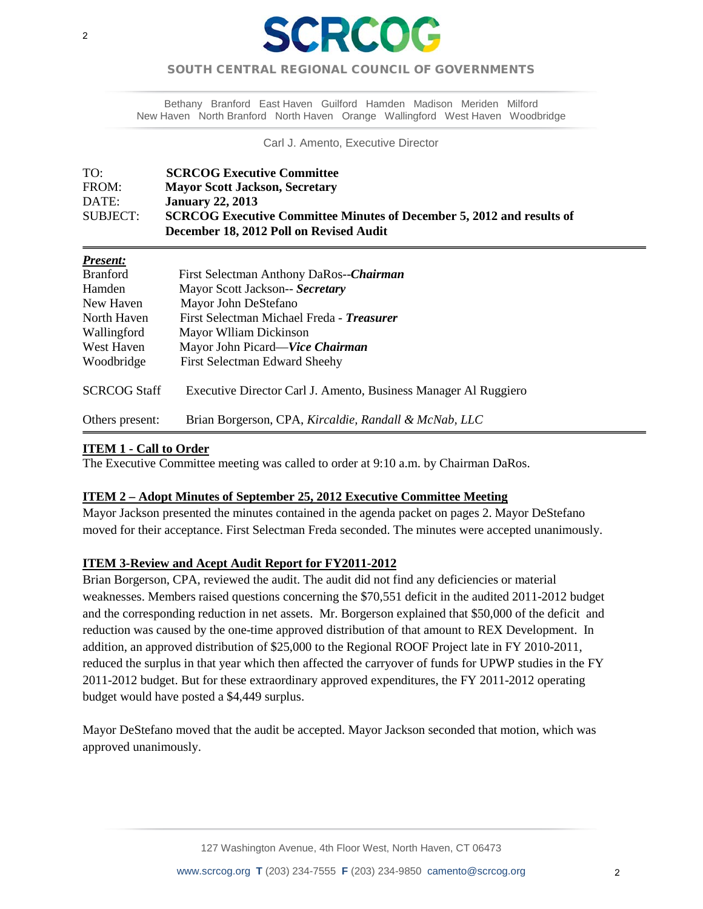

### SOUTH CENTRAL REGIONAL COUNCIL OF GOVERNMENTS  $\overline{a}$

Bethany Branford East Haven Guilford Hamden Madison Meriden Milford New Haven North Branford North Haven Orange Wallingford West Haven Woodbridge

Carl J. Amento, Executive Director

| TO:      | <b>SCRCOG Executive Committee</b>                                            |
|----------|------------------------------------------------------------------------------|
| FROM:    | <b>Mayor Scott Jackson, Secretary</b>                                        |
| DATE:    | <b>January 22, 2013</b>                                                      |
| SUBJECT: | <b>SCRCOG Executive Committee Minutes of December 5, 2012 and results of</b> |
|          | December 18, 2012 Poll on Revised Audit                                      |

#### *Present:*

| <b>Branford</b>     | First Selectman Anthony DaRos--Chairman                         |
|---------------------|-----------------------------------------------------------------|
| Hamden              | Mayor Scott Jackson-- Secretary                                 |
| New Haven           | Mayor John DeStefano                                            |
| North Haven         | First Selectman Michael Freda - Treasurer                       |
| Wallingford         | Mayor Wlliam Dickinson                                          |
| West Haven          | Mayor John Picard—Vice Chairman                                 |
| Woodbridge          | <b>First Selectman Edward Sheehy</b>                            |
| <b>SCRCOG Staff</b> | Executive Director Carl J. Amento, Business Manager Al Ruggiero |
| Others present:     | Brian Borgerson, CPA, Kircaldie, Randall & McNab, LLC           |

#### **ITEM 1 - Call to Order**

İ

The Executive Committee meeting was called to order at 9:10 a.m. by Chairman DaRos.

#### **ITEM 2 – Adopt Minutes of September 25, 2012 Executive Committee Meeting**

Mayor Jackson presented the minutes contained in the agenda packet on pages 2. Mayor DeStefano moved for their acceptance. First Selectman Freda seconded. The minutes were accepted unanimously.

#### **ITEM 3-Review and Acept Audit Report for FY2011-2012**

Brian Borgerson, CPA, reviewed the audit. The audit did not find any deficiencies or material weaknesses. Members raised questions concerning the \$70,551 deficit in the audited 2011-2012 budget and the corresponding reduction in net assets. Mr. Borgerson explained that \$50,000 of the deficit and reduction was caused by the one-time approved distribution of that amount to REX Development. In addition, an approved distribution of \$25,000 to the Regional ROOF Project late in FY 2010-2011, reduced the surplus in that year which then affected the carryover of funds for UPWP studies in the FY 2011-2012 budget. But for these extraordinary approved expenditures, the FY 2011-2012 operating budget would have posted a \$4,449 surplus.

Mayor DeStefano moved that the audit be accepted. Mayor Jackson seconded that motion, which was approved unanimously.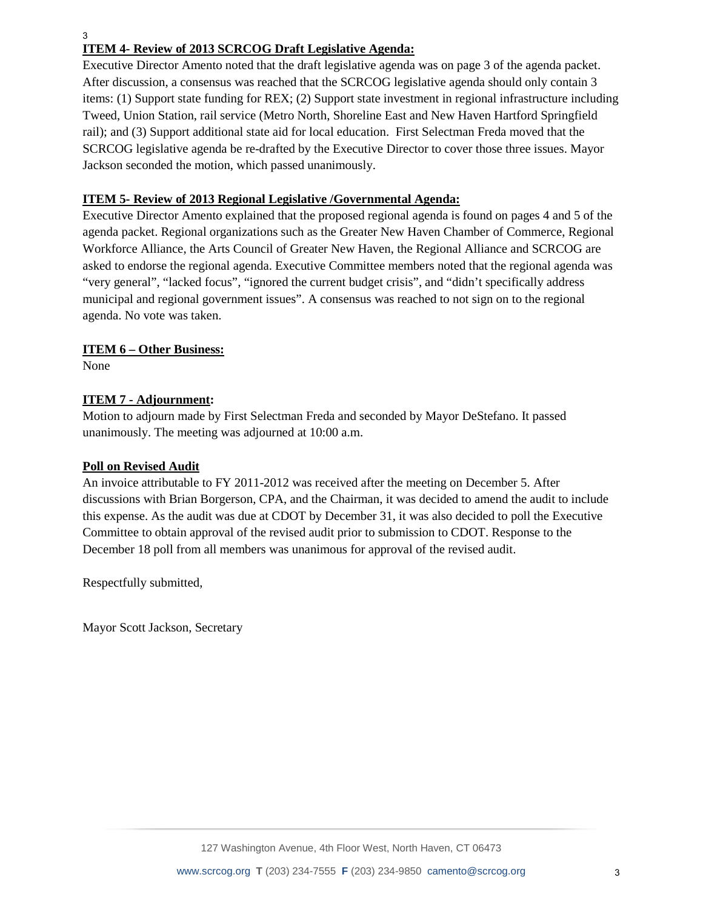3

### **ITEM 4- Review of 2013 SCRCOG Draft Legislative Agenda:**

Executive Director Amento noted that the draft legislative agenda was on page 3 of the agenda packet. After discussion, a consensus was reached that the SCRCOG legislative agenda should only contain 3 items: (1) Support state funding for REX; (2) Support state investment in regional infrastructure including Tweed, Union Station, rail service (Metro North, Shoreline East and New Haven Hartford Springfield rail); and (3) Support additional state aid for local education. First Selectman Freda moved that the SCRCOG legislative agenda be re-drafted by the Executive Director to cover those three issues. Mayor Jackson seconded the motion, which passed unanimously.

#### **ITEM 5- Review of 2013 Regional Legislative /Governmental Agenda:**

Executive Director Amento explained that the proposed regional agenda is found on pages 4 and 5 of the agenda packet. Regional organizations such as the Greater New Haven Chamber of Commerce, Regional Workforce Alliance, the Arts Council of Greater New Haven, the Regional Alliance and SCRCOG are asked to endorse the regional agenda. Executive Committee members noted that the regional agenda was "very general", "lacked focus", "ignored the current budget crisis", and "didn't specifically address municipal and regional government issues". A consensus was reached to not sign on to the regional agenda. No vote was taken.

#### **ITEM 6 – Other Business:**

None

#### **ITEM 7 - Adjournment:**

Motion to adjourn made by First Selectman Freda and seconded by Mayor DeStefano. It passed unanimously. The meeting was adjourned at 10:00 a.m.

#### **Poll on Revised Audit**

An invoice attributable to FY 2011-2012 was received after the meeting on December 5. After discussions with Brian Borgerson, CPA, and the Chairman, it was decided to amend the audit to include this expense. As the audit was due at CDOT by December 31, it was also decided to poll the Executive Committee to obtain approval of the revised audit prior to submission to CDOT. Response to the December 18 poll from all members was unanimous for approval of the revised audit.

Respectfully submitted,

Mayor Scott Jackson, Secretary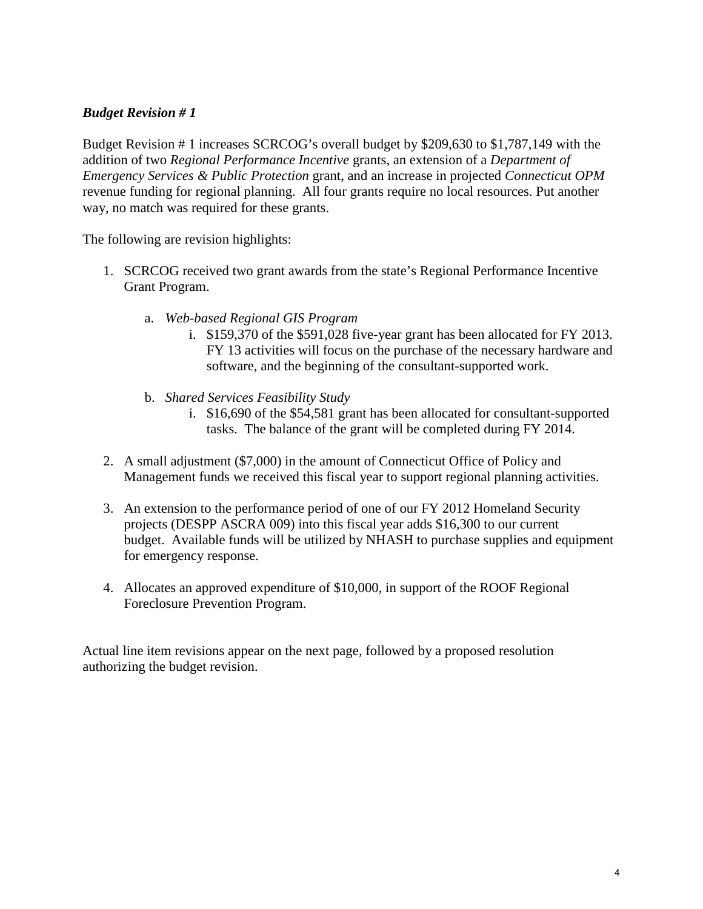## *Budget Revision # 1*

Budget Revision # 1 increases SCRCOG's overall budget by \$209,630 to \$1,787,149 with the addition of two *Regional Performance Incentive* grants, an extension of a *Department of Emergency Services & Public Protection* grant, and an increase in projected *Connecticut OPM*  revenue funding for regional planning. All four grants require no local resources. Put another way, no match was required for these grants.

The following are revision highlights:

- 1. SCRCOG received two grant awards from the state's Regional Performance Incentive Grant Program.
	- a. *Web-based Regional GIS Program* 
		- i. \$159,370 of the \$591,028 five-year grant has been allocated for FY 2013. FY 13 activities will focus on the purchase of the necessary hardware and software, and the beginning of the consultant-supported work.
	- b. *Shared Services Feasibility Study* 
		- i. \$16,690 of the \$54,581 grant has been allocated for consultant-supported tasks. The balance of the grant will be completed during FY 2014.
- 2. A small adjustment (\$7,000) in the amount of Connecticut Office of Policy and Management funds we received this fiscal year to support regional planning activities.
- 3. An extension to the performance period of one of our FY 2012 Homeland Security projects (DESPP ASCRA 009) into this fiscal year adds \$16,300 to our current budget. Available funds will be utilized by NHASH to purchase supplies and equipment for emergency response.
- 4. Allocates an approved expenditure of \$10,000, in support of the ROOF Regional Foreclosure Prevention Program.

Actual line item revisions appear on the next page, followed by a proposed resolution authorizing the budget revision.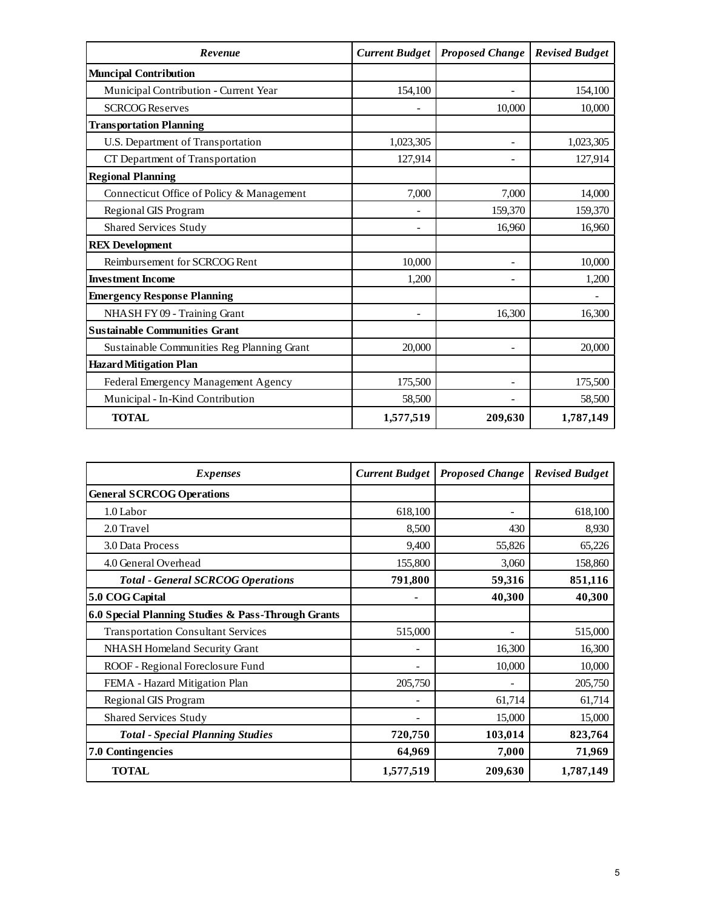| Revenue                                    | <b>Current Budget</b> | <b>Proposed Change</b> | <b>Revised Budget</b> |
|--------------------------------------------|-----------------------|------------------------|-----------------------|
| <b>Muncipal Contribution</b>               |                       |                        |                       |
| Municipal Contribution - Current Year      | 154,100               |                        | 154,100               |
| <b>SCRCOG Reserves</b>                     |                       | 10,000                 | 10,000                |
| <b>Transportation Planning</b>             |                       |                        |                       |
| U.S. Department of Transportation          | 1,023,305             |                        | 1,023,305             |
| CT Department of Transportation            | 127,914               |                        | 127,914               |
| <b>Regional Planning</b>                   |                       |                        |                       |
| Connecticut Office of Policy & Management  | 7,000                 | 7,000                  | 14,000                |
| Regional GIS Program                       |                       | 159,370                | 159,370               |
| <b>Shared Services Study</b>               |                       | 16,960                 | 16,960                |
| <b>REX Development</b>                     |                       |                        |                       |
| Reimbursement for SCRCOG Rent              | 10,000                |                        | 10,000                |
| <b>Investment Income</b>                   | 1,200                 |                        | 1,200                 |
| <b>Emergency Response Planning</b>         |                       |                        |                       |
| NHASH FY 09 - Training Grant               |                       | 16,300                 | 16,300                |
| <b>Sustainable Communities Grant</b>       |                       |                        |                       |
| Sustainable Communities Reg Planning Grant | 20,000                |                        | 20,000                |
| <b>Hazard Mitigation Plan</b>              |                       |                        |                       |
| Federal Emergency Management Agency        | 175,500               |                        | 175,500               |
| Municipal - In-Kind Contribution           | 58,500                |                        | 58,500                |
| <b>TOTAL</b>                               | 1,577,519             | 209,630                | 1,787,149             |

| <b>Expenses</b>                                    | <b>Current Budget</b> | <b>Proposed Change</b> | <b>Revised Budget</b> |
|----------------------------------------------------|-----------------------|------------------------|-----------------------|
| <b>General SCRCOG Operations</b>                   |                       |                        |                       |
| 1.0 Labor                                          | 618,100               |                        | 618,100               |
| 2.0 Travel                                         | 8,500                 | 430                    | 8,930                 |
| 3.0 Data Process                                   | 9,400                 | 55,826                 | 65,226                |
| 4.0 General Overhead                               | 155,800               | 3,060                  | 158,860               |
| <b>Total - General SCRCOG Operations</b>           | 791,800               | 59,316                 | 851,116               |
| 5.0 COG Capital                                    | ٠                     | 40,300                 | 40,300                |
| 6.0 Special Planning Studies & Pass-Through Grants |                       |                        |                       |
| <b>Transportation Consultant Services</b>          | 515,000               |                        | 515,000               |
| NHASH Homeland Security Grant                      |                       | 16,300                 | 16,300                |
| ROOF - Regional Foreclosure Fund                   |                       | 10,000                 | 10,000                |
| FEMA - Hazard Mitigation Plan                      | 205,750               |                        | 205,750               |
| Regional GIS Program                               |                       | 61,714                 | 61,714                |
| <b>Shared Services Study</b>                       |                       | 15,000                 | 15,000                |
| <b>Total - Special Planning Studies</b>            | 720,750               | 103,014                | 823,764               |
| <b>7.0 Contingencies</b>                           | 64,969                | 7,000                  | 71,969                |
| <b>TOTAL</b>                                       | 1,577,519             | 209,630                | 1,787,149             |